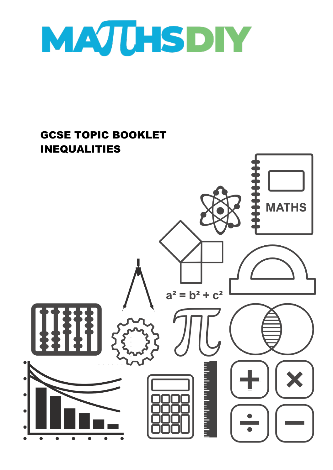

# GCSE TOPIC BOOKLET INEQUALITIES**MATHS**  $a^2 = b^2 + c^2$ առանություն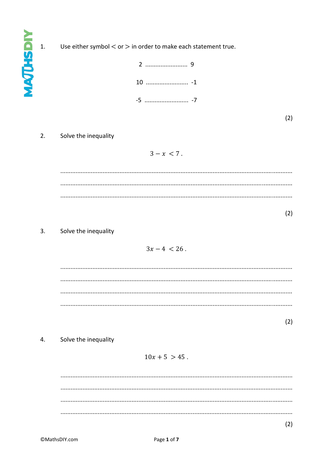**MAQUESDIY** 

 $\overline{1}$ .

Use either symbol  $<$  or  $>$  in order to make each statement true.



 $(2)$ 

### $2.$ Solve the inequality

 $3 - x < 7$ .

 $(2)$ 

### $3.$ Solve the inequality

$$
3x-4<26.
$$

 $(2)$ 

 $\overline{4}$ . Solve the inequality

# $10x + 5 > 45$ .

 $(2)$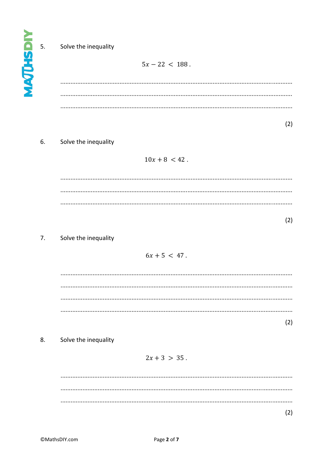**AAJUHSDIY**  $5.$ 

# Solve the inequality

 $5x - 22 < 188$ .

6. Solve the inequality

 $10x + 8 < 42$ .

 $(2)$ 

 $(2)$ 

## $7.$ Solve the inequality

 $6x + 5 < 47$ .

 $(2)$ 

 $(2)$ 

8. Solve the inequality

# $2x + 3 > 35$ .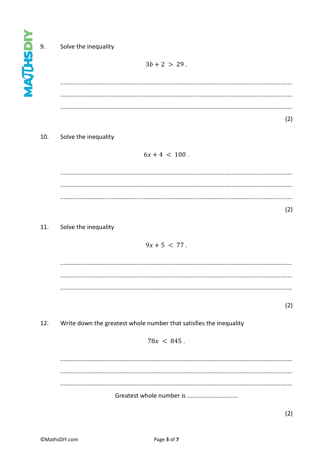**MAQUESDIY** 

9.

# Solve the inequality

 $3b + 2 > 29$ .

### 10. Solve the inequality

 $6x + 4 < 100$ .

 $(2)$ 

### 11. Solve the inequality

# $9x + 5 < 77$ .

 $(2)$ 

### Write down the greatest whole number that satisfies the inequality  $12.$

$$
78x < 845
$$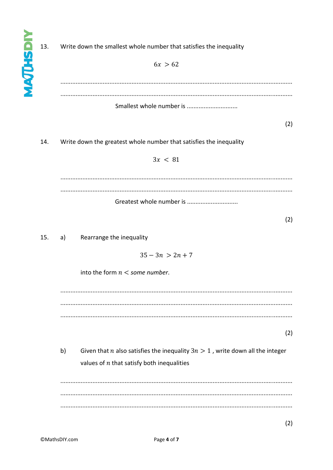Write down the smallest whole number that satisfies the inequality 13.  $6x > 62$ Smallest whole number is ................................  $(2)$ 14. Write down the greatest whole number that satisfies the inequality  $3x < 81$ Greatest whole number is ................................  $(2)$  $15.$ Rearrange the inequality  $a)$  $35 - 3n > 2n + 7$ into the form  $n <$  some number.  $(2)$  $b)$ Given that *n* also satisfies the inequality  $3n > 1$ , write down all the integer values of  $n$  that satisfy both inequalities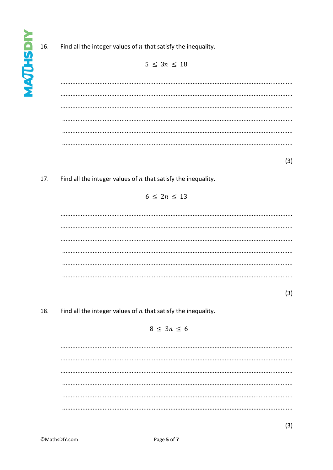*<u>AATHSDIV</u>* 

Find all the integer values of  $n$  that satisfy the inequality. 16.

 $5 \leq 3n \leq 18$ 

 $(3)$ 

Find all the integer values of  $n$  that satisfy the inequality. 17.

# $6 \leq 2n \leq 13$

 $(3)$ 

Find all the integer values of  $n$  that satisfy the inequality. 18.

 $-8 < 3n < 6$ 

 $(3)$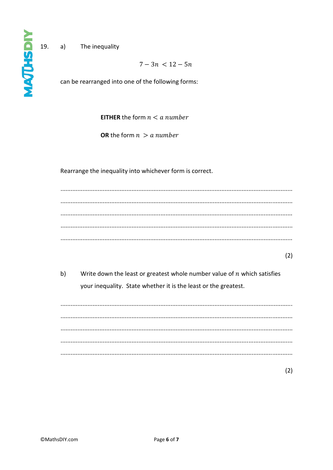19.  $a)$ The inequality

 $7 - 3n < 12 - 5n$ 

can be rearranged into one of the following forms:

**EITHER** the form  $n < a$  number

**OR** the form  $n > a$  number

Rearrange the inequality into whichever form is correct.

 $(2)$ 

 $b)$ Write down the least or greatest whole number value of  $n$  which satisfies your inequality. State whether it is the least or the greatest.

 $(2)$